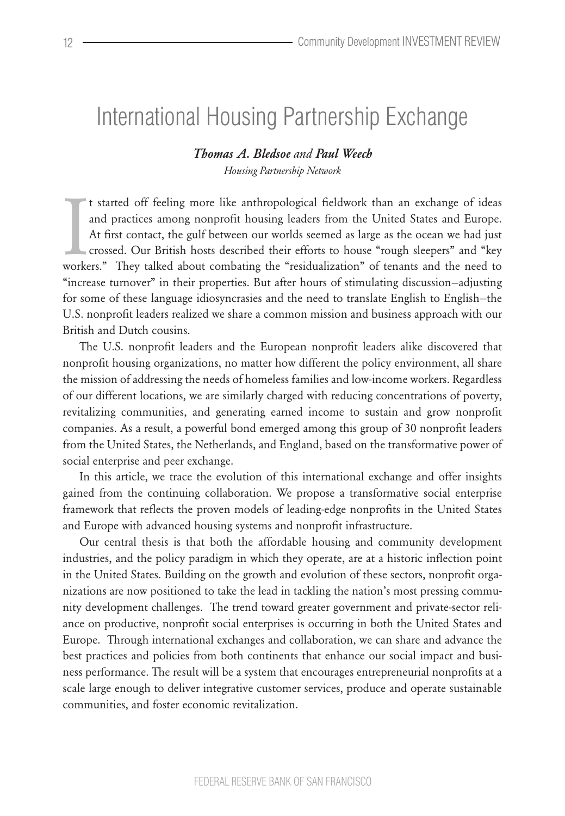# International Housing Partnership Exchange

# *Thomas A. Bledsoe and Paul Weech Housing Partnership Network*

It started off feeling more like anthropological fieldwork than an exchange of ideas<br>and practices among nonprofit housing leaders from the United States and Europe.<br>At first contact, the gulf between our worlds seemed as t started off feeling more like anthropological fieldwork than an exchange of ideas and practices among nonprofit housing leaders from the United States and Europe. At first contact, the gulf between our worlds seemed as large as the ocean we had just crossed. Our British hosts described their efforts to house "rough sleepers" and "key "increase turnover" in their properties. But after hours of stimulating discussion—adjusting for some of these language idiosyncrasies and the need to translate English to English—the U.S. nonprofit leaders realized we share a common mission and business approach with our British and Dutch cousins.

The U.S. nonprofit leaders and the European nonprofit leaders alike discovered that nonprofit housing organizations, no matter how different the policy environment, all share the mission of addressing the needs of homeless families and low-income workers. Regardless of our different locations, we are similarly charged with reducing concentrations of poverty, revitalizing communities, and generating earned income to sustain and grow nonprofit companies. As a result, a powerful bond emerged among this group of 30 nonprofit leaders from the United States, the Netherlands, and England, based on the transformative power of social enterprise and peer exchange.

In this article, we trace the evolution of this international exchange and offer insights gained from the continuing collaboration. We propose a transformative social enterprise framework that reflects the proven models of leading-edge nonprofits in the United States and Europe with advanced housing systems and nonprofit infrastructure.

Our central thesis is that both the affordable housing and community development industries, and the policy paradigm in which they operate, are at a historic inflection point in the United States. Building on the growth and evolution of these sectors, nonprofit organizations are now positioned to take the lead in tackling the nation's most pressing community development challenges. The trend toward greater government and private-sector reliance on productive, nonprofit social enterprises is occurring in both the United States and Europe. Through international exchanges and collaboration, we can share and advance the best practices and policies from both continents that enhance our social impact and business performance. The result will be a system that encourages entrepreneurial nonprofits at a scale large enough to deliver integrative customer services, produce and operate sustainable communities, and foster economic revitalization.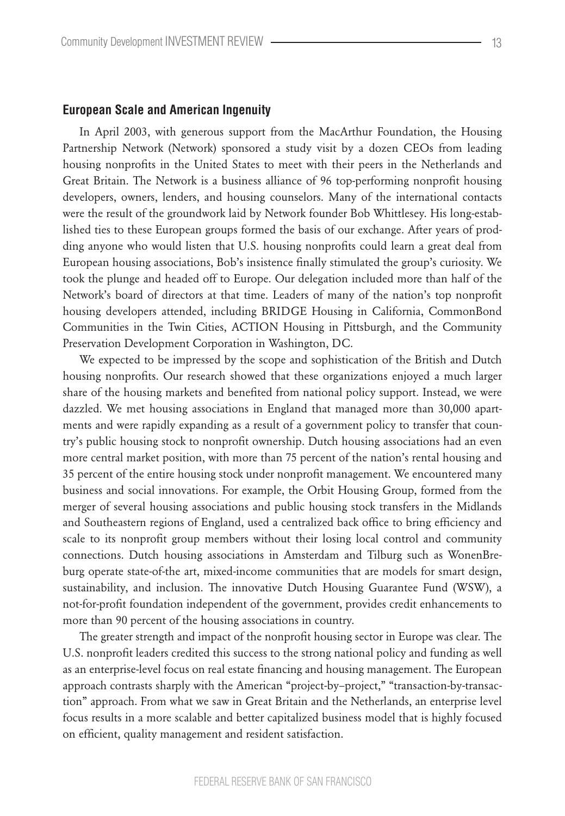#### **European Scale and American Ingenuity**

In April 2003, with generous support from the MacArthur Foundation, the Housing Partnership Network (Network) sponsored a study visit by a dozen CEOs from leading housing nonprofits in the United States to meet with their peers in the Netherlands and Great Britain. The Network is a business alliance of 96 top-performing nonprofit housing developers, owners, lenders, and housing counselors. Many of the international contacts were the result of the groundwork laid by Network founder Bob Whittlesey. His long-established ties to these European groups formed the basis of our exchange. After years of prodding anyone who would listen that U.S. housing nonprofits could learn a great deal from European housing associations, Bob's insistence finally stimulated the group's curiosity. We took the plunge and headed off to Europe. Our delegation included more than half of the Network's board of directors at that time. Leaders of many of the nation's top nonprofit housing developers attended, including BRIDGE Housing in California, CommonBond Communities in the Twin Cities, ACTION Housing in Pittsburgh, and the Community Preservation Development Corporation in Washington, DC.

We expected to be impressed by the scope and sophistication of the British and Dutch housing nonprofits. Our research showed that these organizations enjoyed a much larger share of the housing markets and benefited from national policy support. Instead, we were dazzled. We met housing associations in England that managed more than 30,000 apartments and were rapidly expanding as a result of a government policy to transfer that country's public housing stock to nonprofit ownership. Dutch housing associations had an even more central market position, with more than 75 percent of the nation's rental housing and 35 percent of the entire housing stock under nonprofit management. We encountered many business and social innovations. For example, the Orbit Housing Group, formed from the merger of several housing associations and public housing stock transfers in the Midlands and Southeastern regions of England, used a centralized back office to bring efficiency and scale to its nonprofit group members without their losing local control and community connections. Dutch housing associations in Amsterdam and Tilburg such as WonenBreburg operate state-of-the art, mixed-income communities that are models for smart design, sustainability, and inclusion. The innovative Dutch Housing Guarantee Fund (WSW), a not-for-profit foundation independent of the government, provides credit enhancements to more than 90 percent of the housing associations in country.

The greater strength and impact of the nonprofit housing sector in Europe was clear. The U.S. nonprofit leaders credited this success to the strong national policy and funding as well as an enterprise-level focus on real estate financing and housing management. The European approach contrasts sharply with the American "project-by–project," "transaction-by-transaction" approach. From what we saw in Great Britain and the Netherlands, an enterprise level focus results in a more scalable and better capitalized business model that is highly focused on efficient, quality management and resident satisfaction.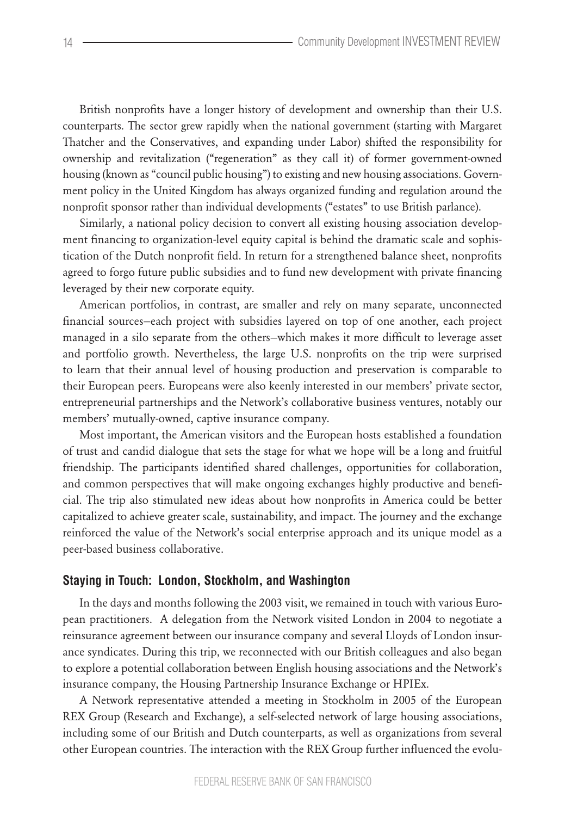British nonprofits have a longer history of development and ownership than their U.S. counterparts. The sector grew rapidly when the national government (starting with Margaret Thatcher and the Conservatives, and expanding under Labor) shifted the responsibility for ownership and revitalization ("regeneration" as they call it) of former government-owned housing (known as "council public housing") to existing and new housing associations. Government policy in the United Kingdom has always organized funding and regulation around the nonprofit sponsor rather than individual developments ("estates" to use British parlance).

Similarly, a national policy decision to convert all existing housing association development financing to organization-level equity capital is behind the dramatic scale and sophistication of the Dutch nonprofit field. In return for a strengthened balance sheet, nonprofits agreed to forgo future public subsidies and to fund new development with private financing leveraged by their new corporate equity.

American portfolios, in contrast, are smaller and rely on many separate, unconnected financial sources—each project with subsidies layered on top of one another, each project managed in a silo separate from the others—which makes it more difficult to leverage asset and portfolio growth. Nevertheless, the large U.S. nonprofits on the trip were surprised to learn that their annual level of housing production and preservation is comparable to their European peers. Europeans were also keenly interested in our members' private sector, entrepreneurial partnerships and the Network's collaborative business ventures, notably our members' mutually-owned, captive insurance company.

Most important, the American visitors and the European hosts established a foundation of trust and candid dialogue that sets the stage for what we hope will be a long and fruitful friendship. The participants identified shared challenges, opportunities for collaboration, and common perspectives that will make ongoing exchanges highly productive and beneficial. The trip also stimulated new ideas about how nonprofits in America could be better capitalized to achieve greater scale, sustainability, and impact. The journey and the exchange reinforced the value of the Network's social enterprise approach and its unique model as a peer-based business collaborative.

## **Staying in Touch: London, Stockholm, and Washington**

In the days and months following the 2003 visit, we remained in touch with various European practitioners. A delegation from the Network visited London in 2004 to negotiate a reinsurance agreement between our insurance company and several Lloyds of London insurance syndicates. During this trip, we reconnected with our British colleagues and also began to explore a potential collaboration between English housing associations and the Network's insurance company, the Housing Partnership Insurance Exchange or HPIEx.

A Network representative attended a meeting in Stockholm in 2005 of the European REX Group (Research and Exchange), a self-selected network of large housing associations, including some of our British and Dutch counterparts, as well as organizations from several other European countries. The interaction with the REX Group further influenced the evolu-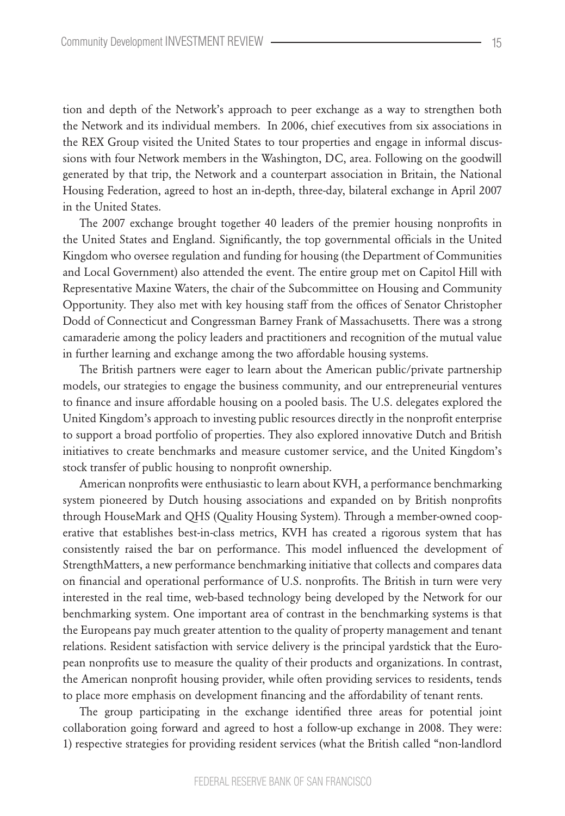tion and depth of the Network's approach to peer exchange as a way to strengthen both the Network and its individual members. In 2006, chief executives from six associations in the REX Group visited the United States to tour properties and engage in informal discussions with four Network members in the Washington, DC, area. Following on the goodwill generated by that trip, the Network and a counterpart association in Britain, the National Housing Federation, agreed to host an in-depth, three-day, bilateral exchange in April 2007 in the United States.

The 2007 exchange brought together 40 leaders of the premier housing nonprofits in the United States and England. Significantly, the top governmental officials in the United Kingdom who oversee regulation and funding for housing (the Department of Communities and Local Government) also attended the event. The entire group met on Capitol Hill with Representative Maxine Waters, the chair of the Subcommittee on Housing and Community Opportunity. They also met with key housing staff from the offices of Senator Christopher Dodd of Connecticut and Congressman Barney Frank of Massachusetts. There was a strong camaraderie among the policy leaders and practitioners and recognition of the mutual value in further learning and exchange among the two affordable housing systems.

The British partners were eager to learn about the American public/private partnership models, our strategies to engage the business community, and our entrepreneurial ventures to finance and insure affordable housing on a pooled basis. The U.S. delegates explored the United Kingdom's approach to investing public resources directly in the nonprofit enterprise to support a broad portfolio of properties. They also explored innovative Dutch and British initiatives to create benchmarks and measure customer service, and the United Kingdom's stock transfer of public housing to nonprofit ownership.

American nonprofits were enthusiastic to learn about KVH, a performance benchmarking system pioneered by Dutch housing associations and expanded on by British nonprofits through HouseMark and QHS (Quality Housing System). Through a member-owned cooperative that establishes best-in-class metrics, KVH has created a rigorous system that has consistently raised the bar on performance. This model influenced the development of StrengthMatters, a new performance benchmarking initiative that collects and compares data on financial and operational performance of U.S. nonprofits. The British in turn were very interested in the real time, web-based technology being developed by the Network for our benchmarking system. One important area of contrast in the benchmarking systems is that the Europeans pay much greater attention to the quality of property management and tenant relations. Resident satisfaction with service delivery is the principal yardstick that the European nonprofits use to measure the quality of their products and organizations. In contrast, the American nonprofit housing provider, while often providing services to residents, tends to place more emphasis on development financing and the affordability of tenant rents.

The group participating in the exchange identified three areas for potential joint collaboration going forward and agreed to host a follow-up exchange in 2008. They were: 1) respective strategies for providing resident services (what the British called "non-landlord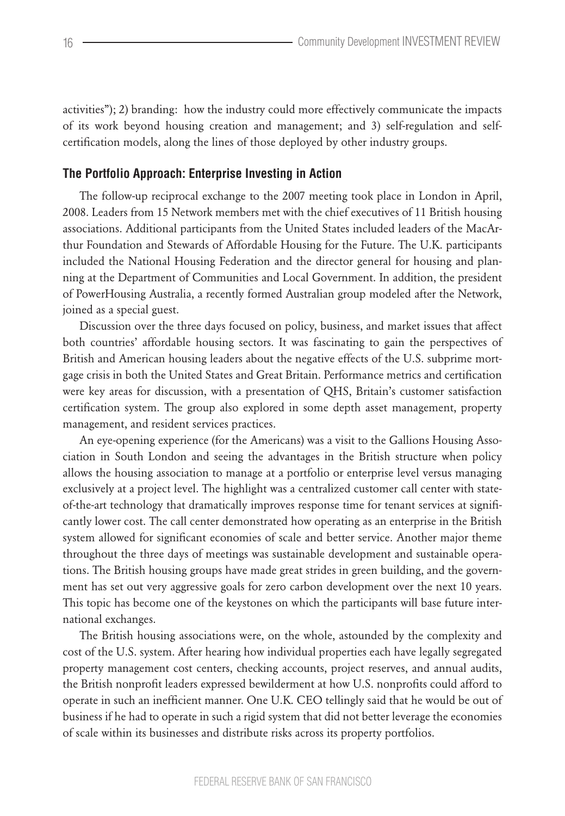activities"); 2) branding: how the industry could more effectively communicate the impacts of its work beyond housing creation and management; and 3) self-regulation and selfcertification models, along the lines of those deployed by other industry groups.

## **The Portfolio Approach: Enterprise Investing in Action**

The follow-up reciprocal exchange to the 2007 meeting took place in London in April, 2008. Leaders from 15 Network members met with the chief executives of 11 British housing associations. Additional participants from the United States included leaders of the MacArthur Foundation and Stewards of Affordable Housing for the Future. The U.K. participants included the National Housing Federation and the director general for housing and planning at the Department of Communities and Local Government. In addition, the president of PowerHousing Australia, a recently formed Australian group modeled after the Network, joined as a special guest.

Discussion over the three days focused on policy, business, and market issues that affect both countries' affordable housing sectors. It was fascinating to gain the perspectives of British and American housing leaders about the negative effects of the U.S. subprime mortgage crisis in both the United States and Great Britain. Performance metrics and certification were key areas for discussion, with a presentation of QHS, Britain's customer satisfaction certification system. The group also explored in some depth asset management, property management, and resident services practices.

An eye-opening experience (for the Americans) was a visit to the Gallions Housing Association in South London and seeing the advantages in the British structure when policy allows the housing association to manage at a portfolio or enterprise level versus managing exclusively at a project level. The highlight was a centralized customer call center with stateof-the-art technology that dramatically improves response time for tenant services at significantly lower cost. The call center demonstrated how operating as an enterprise in the British system allowed for significant economies of scale and better service. Another major theme throughout the three days of meetings was sustainable development and sustainable operations. The British housing groups have made great strides in green building, and the government has set out very aggressive goals for zero carbon development over the next 10 years. This topic has become one of the keystones on which the participants will base future international exchanges.

The British housing associations were, on the whole, astounded by the complexity and cost of the U.S. system. After hearing how individual properties each have legally segregated property management cost centers, checking accounts, project reserves, and annual audits, the British nonprofit leaders expressed bewilderment at how U.S. nonprofits could afford to operate in such an inefficient manner. One U.K. CEO tellingly said that he would be out of business if he had to operate in such a rigid system that did not better leverage the economies of scale within its businesses and distribute risks across its property portfolios.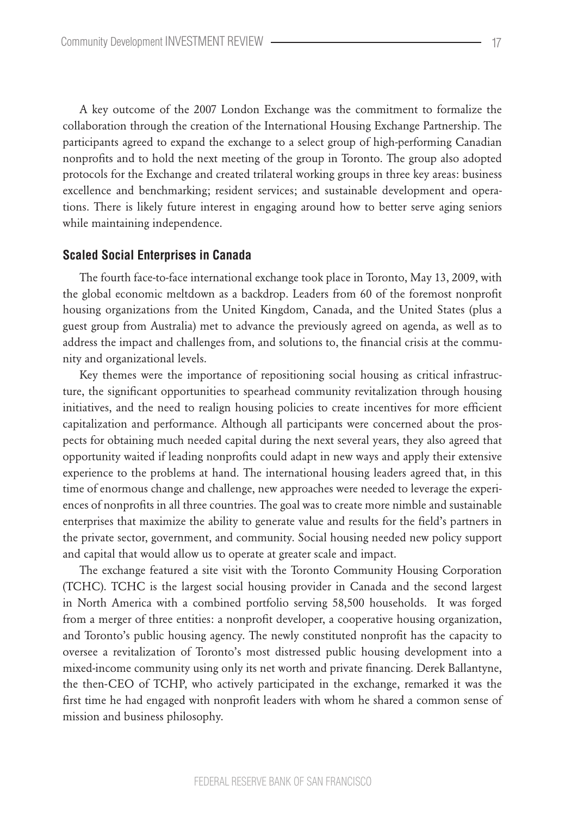A key outcome of the 2007 London Exchange was the commitment to formalize the collaboration through the creation of the International Housing Exchange Partnership. The participants agreed to expand the exchange to a select group of high-performing Canadian nonprofits and to hold the next meeting of the group in Toronto. The group also adopted protocols for the Exchange and created trilateral working groups in three key areas: business excellence and benchmarking; resident services; and sustainable development and operations. There is likely future interest in engaging around how to better serve aging seniors while maintaining independence.

#### **Scaled Social Enterprises in Canada**

The fourth face-to-face international exchange took place in Toronto, May 13, 2009, with the global economic meltdown as a backdrop. Leaders from 60 of the foremost nonprofit housing organizations from the United Kingdom, Canada, and the United States (plus a guest group from Australia) met to advance the previously agreed on agenda, as well as to address the impact and challenges from, and solutions to, the financial crisis at the community and organizational levels.

Key themes were the importance of repositioning social housing as critical infrastructure, the significant opportunities to spearhead community revitalization through housing initiatives, and the need to realign housing policies to create incentives for more efficient capitalization and performance. Although all participants were concerned about the prospects for obtaining much needed capital during the next several years, they also agreed that opportunity waited if leading nonprofits could adapt in new ways and apply their extensive experience to the problems at hand. The international housing leaders agreed that, in this time of enormous change and challenge, new approaches were needed to leverage the experiences of nonprofits in all three countries. The goal was to create more nimble and sustainable enterprises that maximize the ability to generate value and results for the field's partners in the private sector, government, and community. Social housing needed new policy support and capital that would allow us to operate at greater scale and impact.

The exchange featured a site visit with the Toronto Community Housing Corporation (TCHC). TCHC is the largest social housing provider in Canada and the second largest in North America with a combined portfolio serving 58,500 households. It was forged from a merger of three entities: a nonprofit developer, a cooperative housing organization, and Toronto's public housing agency. The newly constituted nonprofit has the capacity to oversee a revitalization of Toronto's most distressed public housing development into a mixed-income community using only its net worth and private financing. Derek Ballantyne, the then-CEO of TCHP, who actively participated in the exchange, remarked it was the first time he had engaged with nonprofit leaders with whom he shared a common sense of mission and business philosophy.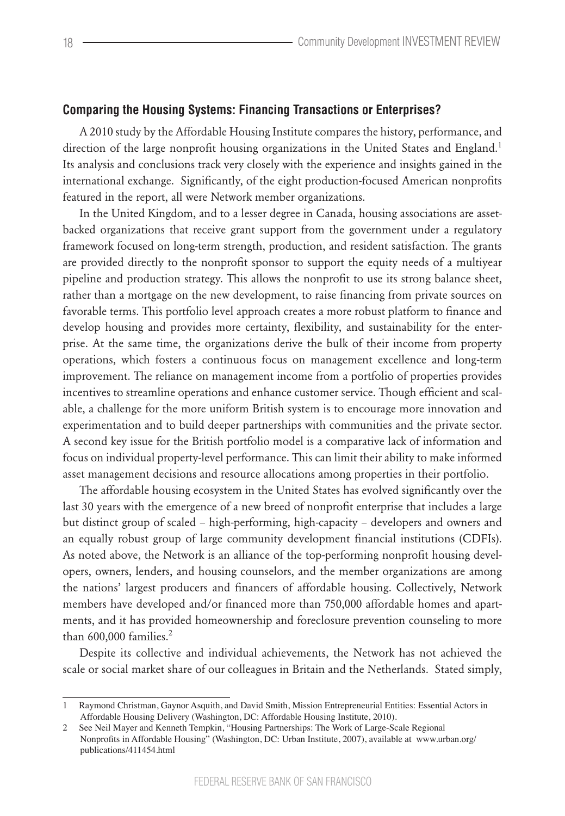## **Comparing the Housing Systems: Financing Transactions or Enterprises?**

A 2010 study by the Affordable Housing Institute compares the history, performance, and direction of the large nonprofit housing organizations in the United States and England.<sup>1</sup> Its analysis and conclusions track very closely with the experience and insights gained in the international exchange. Significantly, of the eight production-focused American nonprofits featured in the report, all were Network member organizations.

In the United Kingdom, and to a lesser degree in Canada, housing associations are assetbacked organizations that receive grant support from the government under a regulatory framework focused on long-term strength, production, and resident satisfaction. The grants are provided directly to the nonprofit sponsor to support the equity needs of a multiyear pipeline and production strategy. This allows the nonprofit to use its strong balance sheet, rather than a mortgage on the new development, to raise financing from private sources on favorable terms. This portfolio level approach creates a more robust platform to finance and develop housing and provides more certainty, flexibility, and sustainability for the enterprise. At the same time, the organizations derive the bulk of their income from property operations, which fosters a continuous focus on management excellence and long-term improvement. The reliance on management income from a portfolio of properties provides incentives to streamline operations and enhance customer service. Though efficient and scalable, a challenge for the more uniform British system is to encourage more innovation and experimentation and to build deeper partnerships with communities and the private sector. A second key issue for the British portfolio model is a comparative lack of information and focus on individual property-level performance. This can limit their ability to make informed asset management decisions and resource allocations among properties in their portfolio.

The affordable housing ecosystem in the United States has evolved significantly over the last 30 years with the emergence of a new breed of nonprofit enterprise that includes a large but distinct group of scaled – high-performing, high-capacity – developers and owners and an equally robust group of large community development financial institutions (CDFIs). As noted above, the Network is an alliance of the top-performing nonprofit housing developers, owners, lenders, and housing counselors, and the member organizations are among the nations' largest producers and financers of affordable housing. Collectively, Network members have developed and/or financed more than 750,000 affordable homes and apartments, and it has provided homeownership and foreclosure prevention counseling to more than 600,000 families.<sup>2</sup>

Despite its collective and individual achievements, the Network has not achieved the scale or social market share of our colleagues in Britain and the Netherlands. Stated simply,

<sup>1</sup>  Raymond Christman, Gaynor Asquith, and David Smith, Mission Entrepreneurial Entities: Essential Actors in Affordable Housing Delivery (Washington, DC: Affordable Housing Institute, 2010).

<sup>2</sup>  See Neil Mayer and Kenneth Tempkin, "Housing Partnerships: The Work of Large-Scale Regional Nonprofits in Affordable Housing" (Washington, DC: Urban Institute, 2007), available at www.urban.org/ publications/411454.html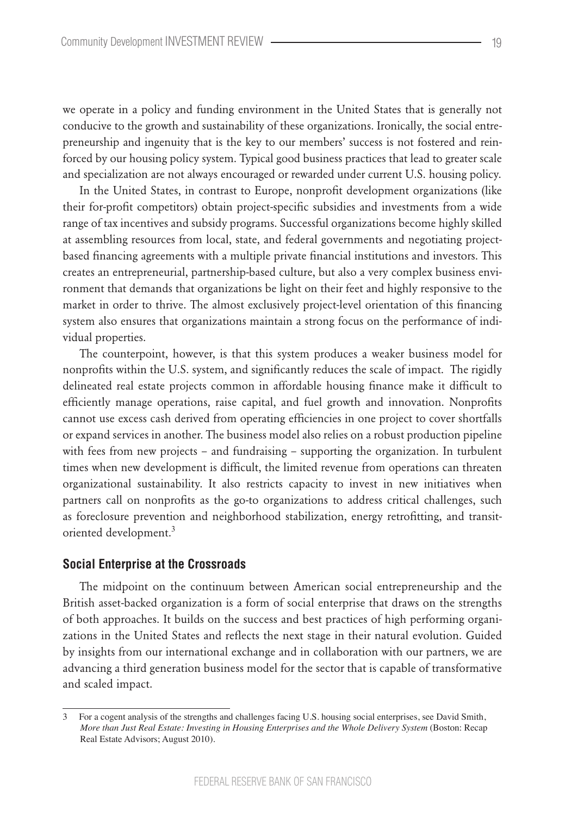we operate in a policy and funding environment in the United States that is generally not conducive to the growth and sustainability of these organizations. Ironically, the social entrepreneurship and ingenuity that is the key to our members' success is not fostered and reinforced by our housing policy system. Typical good business practices that lead to greater scale and specialization are not always encouraged or rewarded under current U.S. housing policy.

In the United States, in contrast to Europe, nonprofit development organizations (like their for-profit competitors) obtain project-specific subsidies and investments from a wide range of tax incentives and subsidy programs. Successful organizations become highly skilled at assembling resources from local, state, and federal governments and negotiating projectbased financing agreements with a multiple private financial institutions and investors. This creates an entrepreneurial, partnership-based culture, but also a very complex business environment that demands that organizations be light on their feet and highly responsive to the market in order to thrive. The almost exclusively project-level orientation of this financing system also ensures that organizations maintain a strong focus on the performance of individual properties.

The counterpoint, however, is that this system produces a weaker business model for nonprofits within the U.S. system, and significantly reduces the scale of impact. The rigidly delineated real estate projects common in affordable housing finance make it difficult to efficiently manage operations, raise capital, and fuel growth and innovation. Nonprofits cannot use excess cash derived from operating efficiencies in one project to cover shortfalls or expand services in another. The business model also relies on a robust production pipeline with fees from new projects – and fundraising – supporting the organization. In turbulent times when new development is difficult, the limited revenue from operations can threaten organizational sustainability. It also restricts capacity to invest in new initiatives when partners call on nonprofits as the go-to organizations to address critical challenges, such as foreclosure prevention and neighborhood stabilization, energy retrofitting, and transitoriented development.<sup>3</sup>

#### **Social Enterprise at the Crossroads**

The midpoint on the continuum between American social entrepreneurship and the British asset-backed organization is a form of social enterprise that draws on the strengths of both approaches. It builds on the success and best practices of high performing organizations in the United States and reflects the next stage in their natural evolution. Guided by insights from our international exchange and in collaboration with our partners, we are advancing a third generation business model for the sector that is capable of transformative and scaled impact.

<sup>3</sup>  For a cogent analysis of the strengths and challenges facing U.S. housing social enterprises, see David Smith, *More than Just Real Estate: Investing in Housing Enterprises and the Whole Delivery System (Boston: Recap* Real Estate Advisors; August 2010).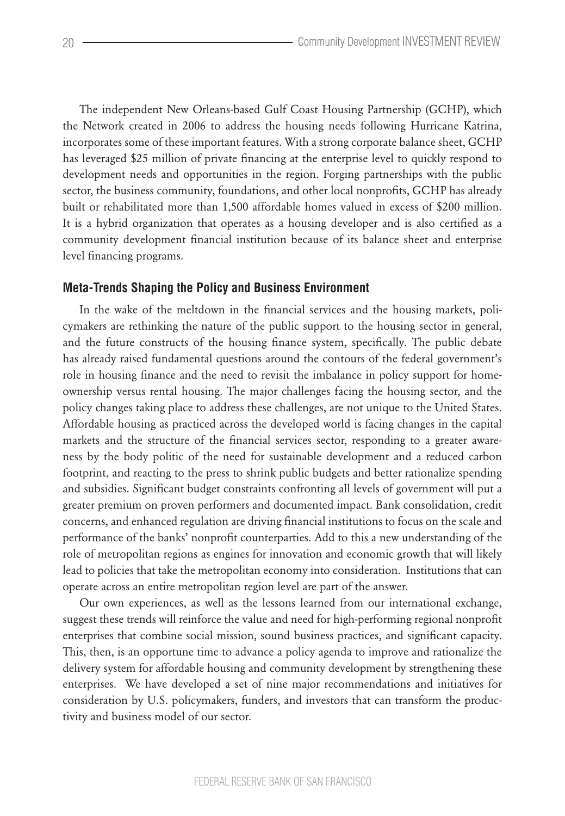The independent New Orleans-based Gulf Coast Housing Partnership (GCHP), which the Network created in 2006 to address the housing needs following Hurricane Katrina, incorporates some of these important features. With a strong corporate balance sheet, GCHP has leveraged \$25 million of private financing at the enterprise level to quickly respond to development needs and opportunities in the region. Forging partnerships with the public sector, the business community, foundations, and other local nonprofits, GCHP has already built or rehabilitated more than 1,500 affordable homes valued in excess of \$200 million. It is a hybrid organization that operates as a housing developer and is also certified as a community development financial institution because of its balance sheet and enterprise level financing programs.

## **Meta-Trends Shaping the Policy and Business Environment**

In the wake of the meltdown in the financial services and the housing markets, policymakers are rethinking the nature of the public support to the housing sector in general, and the future constructs of the housing finance system, specifically. The public debate has already raised fundamental questions around the contours of the federal government's role in housing finance and the need to revisit the imbalance in policy support for homeownership versus rental housing. The major challenges facing the housing sector, and the policy changes taking place to address these challenges, are not unique to the United States. Affordable housing as practiced across the developed world is facing changes in the capital markets and the structure of the financial services sector, responding to a greater awareness by the body politic of the need for sustainable development and a reduced carbon footprint, and reacting to the press to shrink public budgets and better rationalize spending and subsidies. Significant budget constraints confronting all levels of government will put a greater premium on proven performers and documented impact. Bank consolidation, credit concerns, and enhanced regulation are driving financial institutions to focus on the scale and performance of the banks' nonprofit counterparties. Add to this a new understanding of the role of metropolitan regions as engines for innovation and economic growth that will likely lead to policies that take the metropolitan economy into consideration. Institutions that can operate across an entire metropolitan region level are part of the answer.

Our own experiences, as well as the lessons learned from our international exchange, suggest these trends will reinforce the value and need for high-performing regional nonprofit enterprises that combine social mission, sound business practices, and significant capacity. This, then, is an opportune time to advance a policy agenda to improve and rationalize the delivery system for affordable housing and community development by strengthening these enterprises. We have developed a set of nine major recommendations and initiatives for consideration by U.S. policymakers, funders, and investors that can transform the productivity and business model of our sector.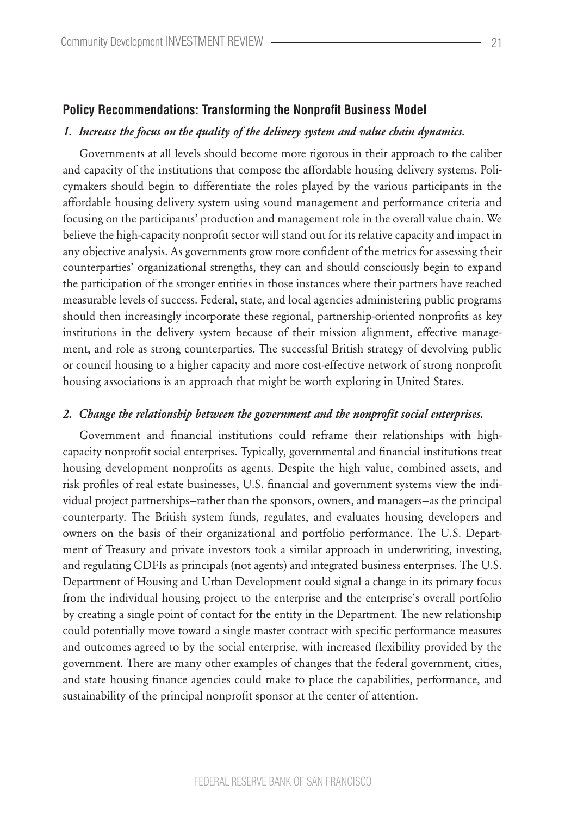#### **Policy Recommendations: Transforming the Nonprofit Business Model**

#### *1. Increase the focus on the quality of the delivery system and value chain dynamics.*

Governments at all levels should become more rigorous in their approach to the caliber and capacity of the institutions that compose the affordable housing delivery systems. Policymakers should begin to differentiate the roles played by the various participants in the affordable housing delivery system using sound management and performance criteria and focusing on the participants' production and management role in the overall value chain. We believe the high-capacity nonprofit sector will stand out for its relative capacity and impact in any objective analysis. As governments grow more confident of the metrics for assessing their counterparties' organizational strengths, they can and should consciously begin to expand the participation of the stronger entities in those instances where their partners have reached measurable levels of success. Federal, state, and local agencies administering public programs should then increasingly incorporate these regional, partnership-oriented nonprofits as key institutions in the delivery system because of their mission alignment, effective management, and role as strong counterparties. The successful British strategy of devolving public or council housing to a higher capacity and more cost-effective network of strong nonprofit housing associations is an approach that might be worth exploring in United States.

#### *2. Change the relationship between the government and the nonprofit social enterprises.*

Government and financial institutions could reframe their relationships with highcapacity nonprofit social enterprises. Typically, governmental and financial institutions treat housing development nonprofits as agents. Despite the high value, combined assets, and risk profiles of real estate businesses, U.S. financial and government systems view the individual project partnerships—rather than the sponsors, owners, and managers—as the principal counterparty. The British system funds, regulates, and evaluates housing developers and owners on the basis of their organizational and portfolio performance. The U.S. Department of Treasury and private investors took a similar approach in underwriting, investing, and regulating CDFIs as principals (not agents) and integrated business enterprises. The U.S. Department of Housing and Urban Development could signal a change in its primary focus from the individual housing project to the enterprise and the enterprise's overall portfolio by creating a single point of contact for the entity in the Department. The new relationship could potentially move toward a single master contract with specific performance measures and outcomes agreed to by the social enterprise, with increased flexibility provided by the government. There are many other examples of changes that the federal government, cities, and state housing finance agencies could make to place the capabilities, performance, and sustainability of the principal nonprofit sponsor at the center of attention.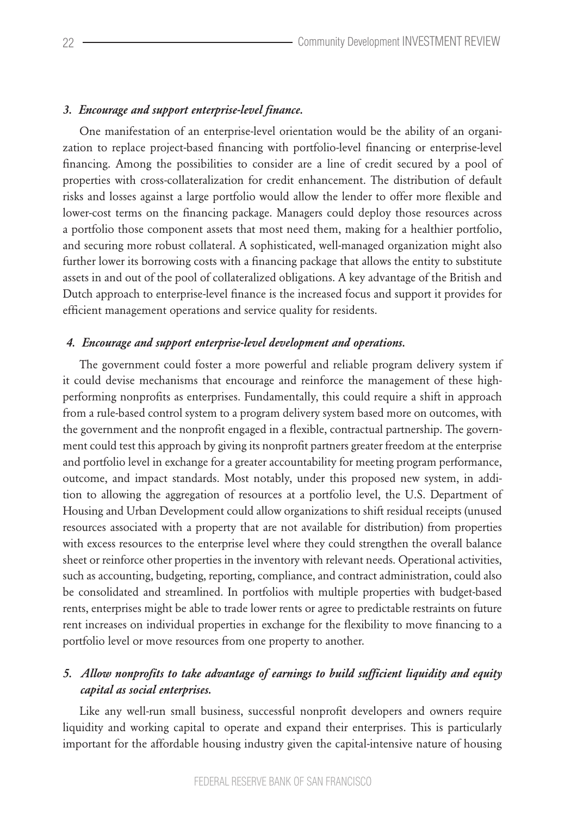## *3. Encourage and support enterprise-level finance.*

One manifestation of an enterprise-level orientation would be the ability of an organization to replace project-based financing with portfolio-level financing or enterprise-level financing. Among the possibilities to consider are a line of credit secured by a pool of properties with cross-collateralization for credit enhancement. The distribution of default risks and losses against a large portfolio would allow the lender to offer more flexible and lower-cost terms on the financing package. Managers could deploy those resources across a portfolio those component assets that most need them, making for a healthier portfolio, and securing more robust collateral. A sophisticated, well-managed organization might also further lower its borrowing costs with a financing package that allows the entity to substitute assets in and out of the pool of collateralized obligations. A key advantage of the British and Dutch approach to enterprise-level finance is the increased focus and support it provides for efficient management operations and service quality for residents.

#### *4. Encourage and support enterprise-level development and operations.*

The government could foster a more powerful and reliable program delivery system if it could devise mechanisms that encourage and reinforce the management of these highperforming nonprofits as enterprises. Fundamentally, this could require a shift in approach from a rule-based control system to a program delivery system based more on outcomes, with the government and the nonprofit engaged in a flexible, contractual partnership. The government could test this approach by giving its nonprofit partners greater freedom at the enterprise and portfolio level in exchange for a greater accountability for meeting program performance, outcome, and impact standards. Most notably, under this proposed new system, in addition to allowing the aggregation of resources at a portfolio level, the U.S. Department of Housing and Urban Development could allow organizations to shift residual receipts (unused resources associated with a property that are not available for distribution) from properties with excess resources to the enterprise level where they could strengthen the overall balance sheet or reinforce other properties in the inventory with relevant needs. Operational activities, such as accounting, budgeting, reporting, compliance, and contract administration, could also be consolidated and streamlined. In portfolios with multiple properties with budget-based rents, enterprises might be able to trade lower rents or agree to predictable restraints on future rent increases on individual properties in exchange for the flexibility to move financing to a portfolio level or move resources from one property to another.

# *5. Allow nonprofits to take advantage of earnings to build sufficient liquidity and equity capital as social enterprises.*

Like any well-run small business, successful nonprofit developers and owners require liquidity and working capital to operate and expand their enterprises. This is particularly important for the affordable housing industry given the capital-intensive nature of housing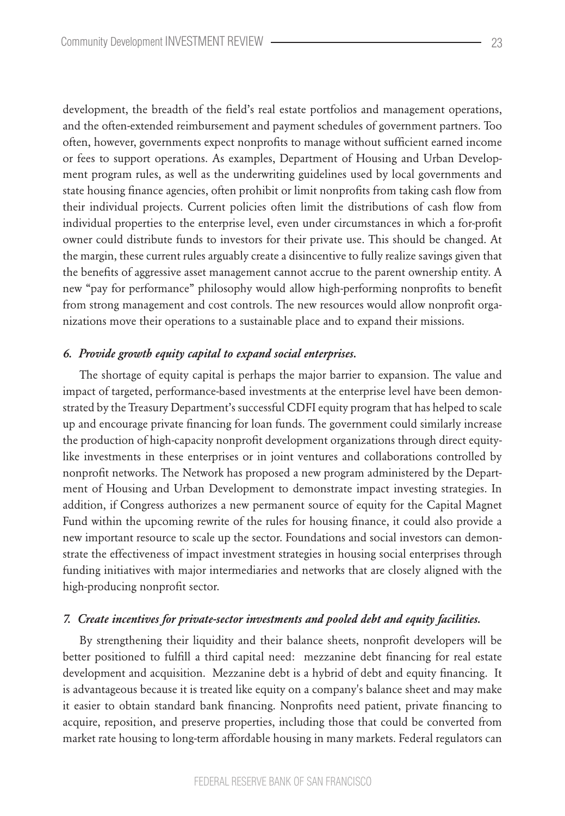development, the breadth of the field's real estate portfolios and management operations, and the often-extended reimbursement and payment schedules of government partners. Too often, however, governments expect nonprofits to manage without sufficient earned income or fees to support operations. As examples, Department of Housing and Urban Development program rules, as well as the underwriting guidelines used by local governments and state housing finance agencies, often prohibit or limit nonprofits from taking cash flow from their individual projects. Current policies often limit the distributions of cash flow from individual properties to the enterprise level, even under circumstances in which a for-profit owner could distribute funds to investors for their private use. This should be changed. At the margin, these current rules arguably create a disincentive to fully realize savings given that the benefits of aggressive asset management cannot accrue to the parent ownership entity. A new "pay for performance" philosophy would allow high-performing nonprofits to benefit from strong management and cost controls. The new resources would allow nonprofit organizations move their operations to a sustainable place and to expand their missions.

### *6. Provide growth equity capital to expand social enterprises.*

The shortage of equity capital is perhaps the major barrier to expansion. The value and impact of targeted, performance-based investments at the enterprise level have been demonstrated by the Treasury Department's successful CDFI equity program that has helped to scale up and encourage private financing for loan funds. The government could similarly increase the production of high-capacity nonprofit development organizations through direct equitylike investments in these enterprises or in joint ventures and collaborations controlled by nonprofit networks. The Network has proposed a new program administered by the Department of Housing and Urban Development to demonstrate impact investing strategies. In addition, if Congress authorizes a new permanent source of equity for the Capital Magnet Fund within the upcoming rewrite of the rules for housing finance, it could also provide a new important resource to scale up the sector. Foundations and social investors can demonstrate the effectiveness of impact investment strategies in housing social enterprises through funding initiatives with major intermediaries and networks that are closely aligned with the high-producing nonprofit sector.

#### *7. Create incentives for private-sector investments and pooled debt and equity facilities.*

By strengthening their liquidity and their balance sheets, nonprofit developers will be better positioned to fulfill a third capital need: mezzanine debt financing for real estate development and acquisition. Mezzanine debt is a hybrid of debt and equity financing. It is advantageous because it is treated like equity on a company's balance sheet and may make it easier to obtain standard bank financing. Nonprofits need patient, private financing to acquire, reposition, and preserve properties, including those that could be converted from market rate housing to long-term affordable housing in many markets. Federal regulators can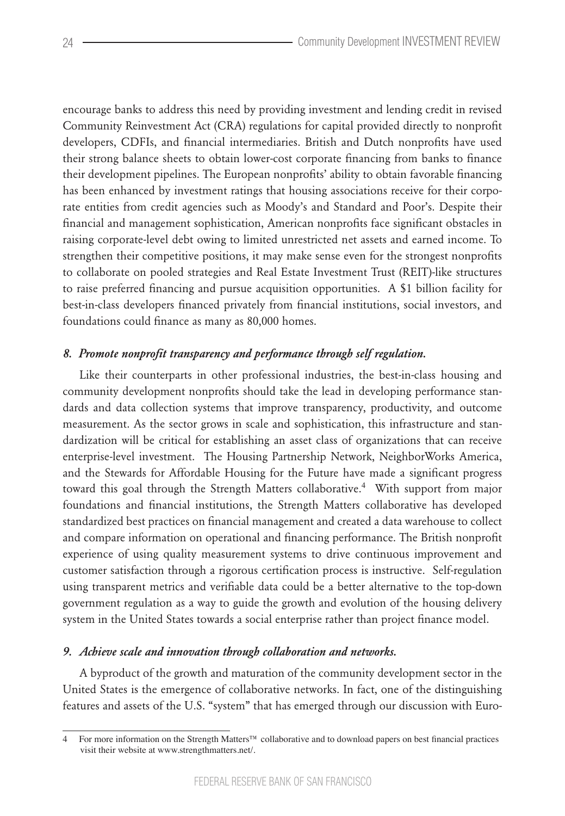encourage banks to address this need by providing investment and lending credit in revised Community Reinvestment Act (CRA) regulations for capital provided directly to nonprofit developers, CDFIs, and financial intermediaries. British and Dutch nonprofits have used their strong balance sheets to obtain lower-cost corporate financing from banks to finance their development pipelines. The European nonprofits' ability to obtain favorable financing has been enhanced by investment ratings that housing associations receive for their corporate entities from credit agencies such as Moody's and Standard and Poor's. Despite their financial and management sophistication, American nonprofits face significant obstacles in raising corporate-level debt owing to limited unrestricted net assets and earned income. To strengthen their competitive positions, it may make sense even for the strongest nonprofits to collaborate on pooled strategies and Real Estate Investment Trust (REIT)-like structures to raise preferred financing and pursue acquisition opportunities. A \$1 billion facility for best-in-class developers financed privately from financial institutions, social investors, and foundations could finance as many as 80,000 homes.

## *8. Promote nonprofit transparency and performance through self regulation.*

Like their counterparts in other professional industries, the best-in-class housing and community development nonprofits should take the lead in developing performance standards and data collection systems that improve transparency, productivity, and outcome measurement. As the sector grows in scale and sophistication, this infrastructure and standardization will be critical for establishing an asset class of organizations that can receive enterprise-level investment. The Housing Partnership Network, NeighborWorks America, and the Stewards for Affordable Housing for the Future have made a significant progress toward this goal through the Strength Matters collaborative.<sup>4</sup> With support from major foundations and financial institutions, the Strength Matters collaborative has developed standardized best practices on financial management and created a data warehouse to collect and compare information on operational and financing performance. The British nonprofit experience of using quality measurement systems to drive continuous improvement and customer satisfaction through a rigorous certification process is instructive. Self-regulation using transparent metrics and verifiable data could be a better alternative to the top-down government regulation as a way to guide the growth and evolution of the housing delivery system in the United States towards a social enterprise rather than project finance model.

#### *9. Achieve scale and innovation through collaboration and networks.*

A byproduct of the growth and maturation of the community development sector in the United States is the emergence of collaborative networks. In fact, one of the distinguishing features and assets of the U.S. "system" that has emerged through our discussion with Euro-

<sup>4</sup>  For more information on the Strength Matters™ collaborative and to download papers on best financial practices visit their website at www.strengthmatters.net/.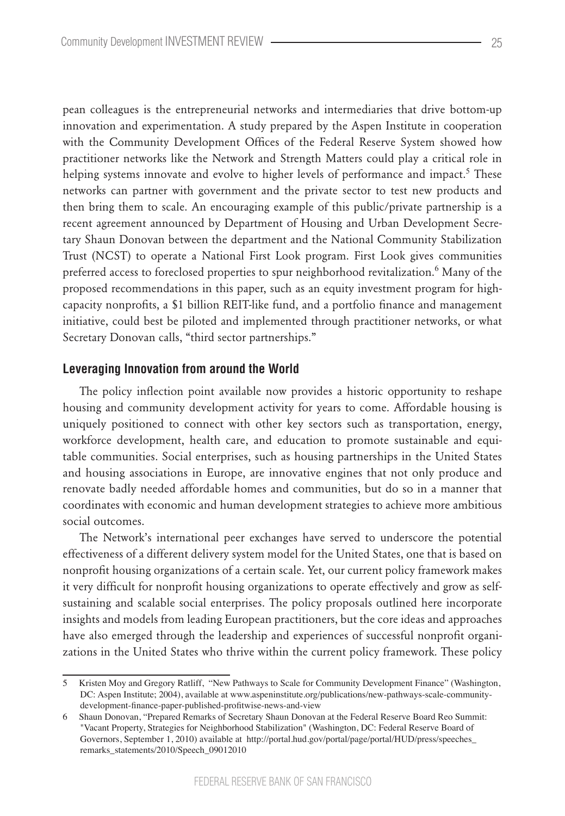pean colleagues is the entrepreneurial networks and intermediaries that drive bottom-up innovation and experimentation. A study prepared by the Aspen Institute in cooperation with the Community Development Offices of the Federal Reserve System showed how practitioner networks like the Network and Strength Matters could play a critical role in helping systems innovate and evolve to higher levels of performance and impact.<sup>5</sup> These networks can partner with government and the private sector to test new products and then bring them to scale. An encouraging example of this public/private partnership is a recent agreement announced by Department of Housing and Urban Development Secretary Shaun Donovan between the department and the National Community Stabilization Trust (NCST) to operate a National First Look program. First Look gives communities preferred access to foreclosed properties to spur neighborhood revitalization.<sup>6</sup> Many of the proposed recommendations in this paper, such as an equity investment program for highcapacity nonprofits, a \$1 billion REIT-like fund, and a portfolio finance and management initiative, could best be piloted and implemented through practitioner networks, or what Secretary Donovan calls, "third sector partnerships."

## **Leveraging Innovation from around the World**

The policy inflection point available now provides a historic opportunity to reshape housing and community development activity for years to come. Affordable housing is uniquely positioned to connect with other key sectors such as transportation, energy, workforce development, health care, and education to promote sustainable and equitable communities. Social enterprises, such as housing partnerships in the United States and housing associations in Europe, are innovative engines that not only produce and renovate badly needed affordable homes and communities, but do so in a manner that coordinates with economic and human development strategies to achieve more ambitious social outcomes.

The Network's international peer exchanges have served to underscore the potential effectiveness of a different delivery system model for the United States, one that is based on nonprofit housing organizations of a certain scale. Yet, our current policy framework makes it very difficult for nonprofit housing organizations to operate effectively and grow as selfsustaining and scalable social enterprises. The policy proposals outlined here incorporate insights and models from leading European practitioners, but the core ideas and approaches have also emerged through the leadership and experiences of successful nonprofit organizations in the United States who thrive within the current policy framework. These policy

<sup>5</sup>  Kristen Moy and Gregory Ratliff, "New Pathways to Scale for Community Development Finance" (Washington, DC: Aspen Institute; 2004), available at www.aspeninstitute.org/publications/new-pathways-scale-communitydevelopment-finance-paper-published-profitwise-news-and-view

<sup>6</sup>  Shaun Donovan, "Prepared Remarks of Secretary Shaun Donovan at the Federal Reserve Board Reo Summit: "Vacant Property, Strategies for Neighborhood Stabilization" (Washington, DC: Federal Reserve Board of Governors, September 1, 2010) available at http://portal.hud.gov/portal/page/portal/HUD/press/speeches\_ remarks\_statements/2010/Speech\_09012010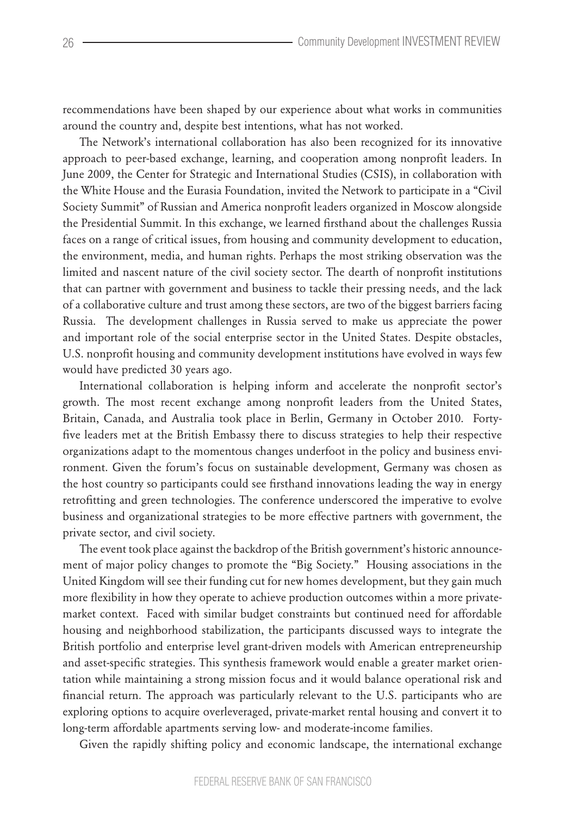recommendations have been shaped by our experience about what works in communities around the country and, despite best intentions, what has not worked.

The Network's international collaboration has also been recognized for its innovative approach to peer-based exchange, learning, and cooperation among nonprofit leaders. In June 2009, the Center for Strategic and International Studies (CSIS), in collaboration with the White House and the Eurasia Foundation, invited the Network to participate in a "Civil Society Summit" of Russian and America nonprofit leaders organized in Moscow alongside the Presidential Summit. In this exchange, we learned firsthand about the challenges Russia faces on a range of critical issues, from housing and community development to education, the environment, media, and human rights. Perhaps the most striking observation was the limited and nascent nature of the civil society sector. The dearth of nonprofit institutions that can partner with government and business to tackle their pressing needs, and the lack of a collaborative culture and trust among these sectors, are two of the biggest barriers facing Russia. The development challenges in Russia served to make us appreciate the power and important role of the social enterprise sector in the United States. Despite obstacles, U.S. nonprofit housing and community development institutions have evolved in ways few would have predicted 30 years ago.

International collaboration is helping inform and accelerate the nonprofit sector's growth. The most recent exchange among nonprofit leaders from the United States, Britain, Canada, and Australia took place in Berlin, Germany in October 2010. Fortyfive leaders met at the British Embassy there to discuss strategies to help their respective organizations adapt to the momentous changes underfoot in the policy and business environment. Given the forum's focus on sustainable development, Germany was chosen as the host country so participants could see firsthand innovations leading the way in energy retrofitting and green technologies. The conference underscored the imperative to evolve business and organizational strategies to be more effective partners with government, the private sector, and civil society.

The event took place against the backdrop of the British government's historic announcement of major policy changes to promote the "Big Society." Housing associations in the United Kingdom will see their funding cut for new homes development, but they gain much more flexibility in how they operate to achieve production outcomes within a more privatemarket context. Faced with similar budget constraints but continued need for affordable housing and neighborhood stabilization, the participants discussed ways to integrate the British portfolio and enterprise level grant-driven models with American entrepreneurship and asset-specific strategies. This synthesis framework would enable a greater market orientation while maintaining a strong mission focus and it would balance operational risk and financial return. The approach was particularly relevant to the U.S. participants who are exploring options to acquire overleveraged, private-market rental housing and convert it to long-term affordable apartments serving low- and moderate-income families.

Given the rapidly shifting policy and economic landscape, the international exchange